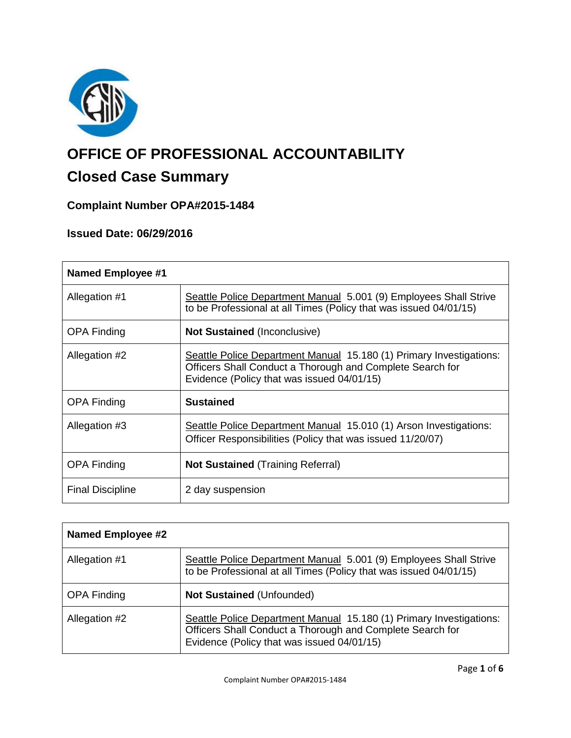

# **OFFICE OF PROFESSIONAL ACCOUNTABILITY**

# **Closed Case Summary**

# **Complaint Number OPA#2015-1484**

# **Issued Date: 06/29/2016**

| <b>Named Employee #1</b> |                                                                                                                                                                                |
|--------------------------|--------------------------------------------------------------------------------------------------------------------------------------------------------------------------------|
| Allegation #1            | Seattle Police Department Manual 5.001 (9) Employees Shall Strive<br>to be Professional at all Times (Policy that was issued 04/01/15)                                         |
| <b>OPA Finding</b>       | <b>Not Sustained (Inconclusive)</b>                                                                                                                                            |
| Allegation #2            | Seattle Police Department Manual 15.180 (1) Primary Investigations:<br>Officers Shall Conduct a Thorough and Complete Search for<br>Evidence (Policy that was issued 04/01/15) |
| <b>OPA Finding</b>       | <b>Sustained</b>                                                                                                                                                               |
| Allegation #3            | Seattle Police Department Manual 15.010 (1) Arson Investigations:<br>Officer Responsibilities (Policy that was issued 11/20/07)                                                |
| <b>OPA Finding</b>       | <b>Not Sustained (Training Referral)</b>                                                                                                                                       |
| <b>Final Discipline</b>  | 2 day suspension                                                                                                                                                               |

| <b>Named Employee #2</b> |                                                                                                                                                                                |
|--------------------------|--------------------------------------------------------------------------------------------------------------------------------------------------------------------------------|
| Allegation #1            | Seattle Police Department Manual 5.001 (9) Employees Shall Strive<br>to be Professional at all Times (Policy that was issued 04/01/15)                                         |
| <b>OPA Finding</b>       | <b>Not Sustained (Unfounded)</b>                                                                                                                                               |
| Allegation #2            | Seattle Police Department Manual 15.180 (1) Primary Investigations:<br>Officers Shall Conduct a Thorough and Complete Search for<br>Evidence (Policy that was issued 04/01/15) |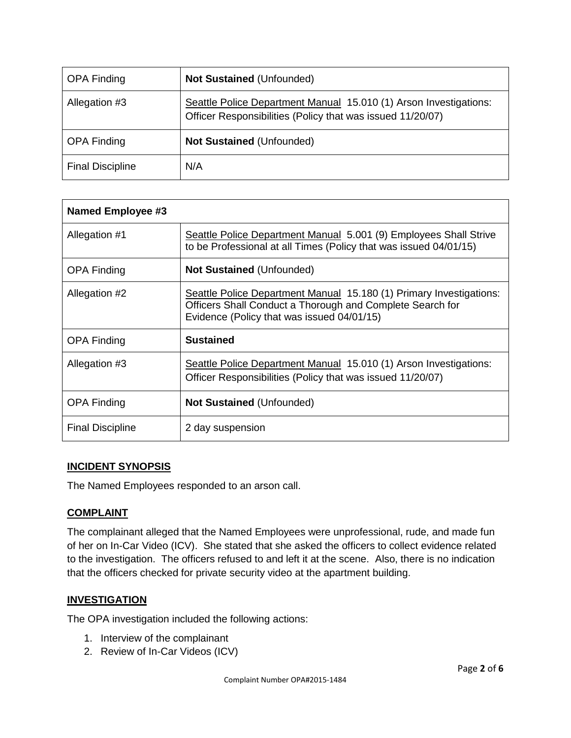| <b>OPA Finding</b>      | Not Sustained (Unfounded)                                                                                                       |
|-------------------------|---------------------------------------------------------------------------------------------------------------------------------|
| Allegation #3           | Seattle Police Department Manual 15.010 (1) Arson Investigations:<br>Officer Responsibilities (Policy that was issued 11/20/07) |
| <b>OPA Finding</b>      | <b>Not Sustained (Unfounded)</b>                                                                                                |
| <b>Final Discipline</b> | N/A                                                                                                                             |

| <b>Named Employee #3</b> |                                                                                                                                                                                |
|--------------------------|--------------------------------------------------------------------------------------------------------------------------------------------------------------------------------|
| Allegation #1            | Seattle Police Department Manual 5.001 (9) Employees Shall Strive<br>to be Professional at all Times (Policy that was issued 04/01/15)                                         |
| <b>OPA Finding</b>       | <b>Not Sustained (Unfounded)</b>                                                                                                                                               |
| Allegation #2            | Seattle Police Department Manual 15.180 (1) Primary Investigations:<br>Officers Shall Conduct a Thorough and Complete Search for<br>Evidence (Policy that was issued 04/01/15) |
| <b>OPA Finding</b>       | <b>Sustained</b>                                                                                                                                                               |
| Allegation #3            | Seattle Police Department Manual 15.010 (1) Arson Investigations:<br>Officer Responsibilities (Policy that was issued 11/20/07)                                                |
| <b>OPA Finding</b>       | <b>Not Sustained (Unfounded)</b>                                                                                                                                               |
| <b>Final Discipline</b>  | 2 day suspension                                                                                                                                                               |

# **INCIDENT SYNOPSIS**

The Named Employees responded to an arson call.

# **COMPLAINT**

The complainant alleged that the Named Employees were unprofessional, rude, and made fun of her on In-Car Video (ICV). She stated that she asked the officers to collect evidence related to the investigation. The officers refused to and left it at the scene. Also, there is no indication that the officers checked for private security video at the apartment building.

# **INVESTIGATION**

The OPA investigation included the following actions:

- 1. Interview of the complainant
- 2. Review of In-Car Videos (ICV)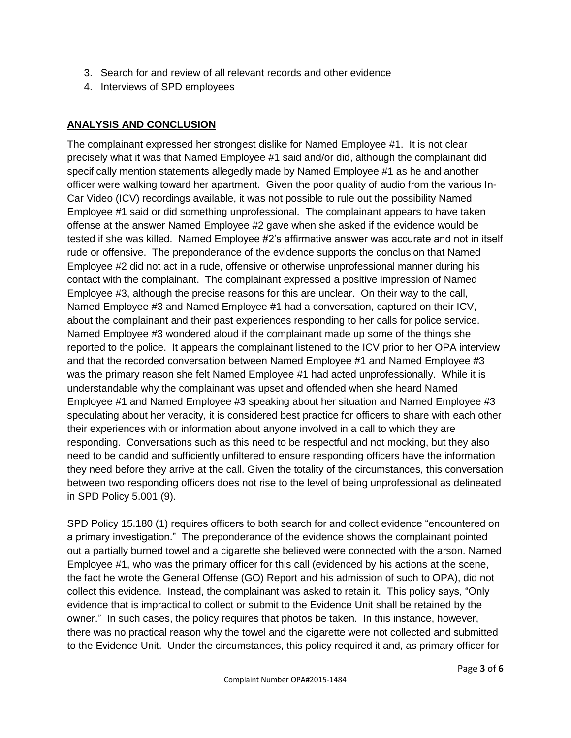- 3. Search for and review of all relevant records and other evidence
- 4. Interviews of SPD employees

# **ANALYSIS AND CONCLUSION**

The complainant expressed her strongest dislike for Named Employee #1. It is not clear precisely what it was that Named Employee #1 said and/or did, although the complainant did specifically mention statements allegedly made by Named Employee #1 as he and another officer were walking toward her apartment. Given the poor quality of audio from the various In-Car Video (ICV) recordings available, it was not possible to rule out the possibility Named Employee #1 said or did something unprofessional. The complainant appears to have taken offense at the answer Named Employee #2 gave when she asked if the evidence would be tested if she was killed. Named Employee #2's affirmative answer was accurate and not in itself rude or offensive. The preponderance of the evidence supports the conclusion that Named Employee #2 did not act in a rude, offensive or otherwise unprofessional manner during his contact with the complainant. The complainant expressed a positive impression of Named Employee #3, although the precise reasons for this are unclear. On their way to the call, Named Employee #3 and Named Employee #1 had a conversation, captured on their ICV, about the complainant and their past experiences responding to her calls for police service. Named Employee #3 wondered aloud if the complainant made up some of the things she reported to the police. It appears the complainant listened to the ICV prior to her OPA interview and that the recorded conversation between Named Employee #1 and Named Employee #3 was the primary reason she felt Named Employee #1 had acted unprofessionally. While it is understandable why the complainant was upset and offended when she heard Named Employee #1 and Named Employee #3 speaking about her situation and Named Employee #3 speculating about her veracity, it is considered best practice for officers to share with each other their experiences with or information about anyone involved in a call to which they are responding. Conversations such as this need to be respectful and not mocking, but they also need to be candid and sufficiently unfiltered to ensure responding officers have the information they need before they arrive at the call. Given the totality of the circumstances, this conversation between two responding officers does not rise to the level of being unprofessional as delineated in SPD Policy 5.001 (9).

SPD Policy 15.180 (1) requires officers to both search for and collect evidence "encountered on a primary investigation." The preponderance of the evidence shows the complainant pointed out a partially burned towel and a cigarette she believed were connected with the arson. Named Employee #1, who was the primary officer for this call (evidenced by his actions at the scene, the fact he wrote the General Offense (GO) Report and his admission of such to OPA), did not collect this evidence. Instead, the complainant was asked to retain it. This policy says, "Only evidence that is impractical to collect or submit to the Evidence Unit shall be retained by the owner." In such cases, the policy requires that photos be taken. In this instance, however, there was no practical reason why the towel and the cigarette were not collected and submitted to the Evidence Unit. Under the circumstances, this policy required it and, as primary officer for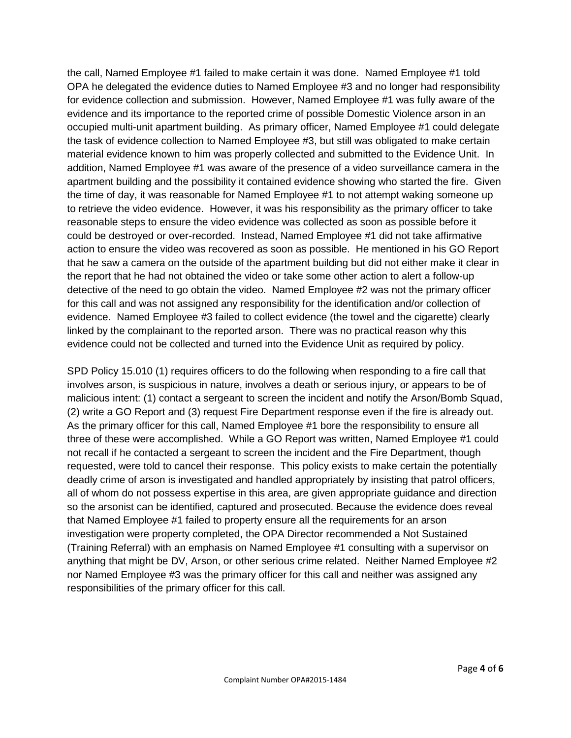the call, Named Employee #1 failed to make certain it was done. Named Employee #1 told OPA he delegated the evidence duties to Named Employee #3 and no longer had responsibility for evidence collection and submission. However, Named Employee #1 was fully aware of the evidence and its importance to the reported crime of possible Domestic Violence arson in an occupied multi-unit apartment building. As primary officer, Named Employee #1 could delegate the task of evidence collection to Named Employee #3, but still was obligated to make certain material evidence known to him was properly collected and submitted to the Evidence Unit. In addition, Named Employee #1 was aware of the presence of a video surveillance camera in the apartment building and the possibility it contained evidence showing who started the fire. Given the time of day, it was reasonable for Named Employee #1 to not attempt waking someone up to retrieve the video evidence. However, it was his responsibility as the primary officer to take reasonable steps to ensure the video evidence was collected as soon as possible before it could be destroyed or over-recorded. Instead, Named Employee #1 did not take affirmative action to ensure the video was recovered as soon as possible. He mentioned in his GO Report that he saw a camera on the outside of the apartment building but did not either make it clear in the report that he had not obtained the video or take some other action to alert a follow-up detective of the need to go obtain the video. Named Employee #2 was not the primary officer for this call and was not assigned any responsibility for the identification and/or collection of evidence. Named Employee #3 failed to collect evidence (the towel and the cigarette) clearly linked by the complainant to the reported arson. There was no practical reason why this evidence could not be collected and turned into the Evidence Unit as required by policy.

SPD Policy 15.010 (1) requires officers to do the following when responding to a fire call that involves arson, is suspicious in nature, involves a death or serious injury, or appears to be of malicious intent: (1) contact a sergeant to screen the incident and notify the Arson/Bomb Squad, (2) write a GO Report and (3) request Fire Department response even if the fire is already out. As the primary officer for this call, Named Employee #1 bore the responsibility to ensure all three of these were accomplished. While a GO Report was written, Named Employee #1 could not recall if he contacted a sergeant to screen the incident and the Fire Department, though requested, were told to cancel their response. This policy exists to make certain the potentially deadly crime of arson is investigated and handled appropriately by insisting that patrol officers, all of whom do not possess expertise in this area, are given appropriate guidance and direction so the arsonist can be identified, captured and prosecuted. Because the evidence does reveal that Named Employee #1 failed to property ensure all the requirements for an arson investigation were property completed, the OPA Director recommended a Not Sustained (Training Referral) with an emphasis on Named Employee #1 consulting with a supervisor on anything that might be DV, Arson, or other serious crime related. Neither Named Employee #2 nor Named Employee #3 was the primary officer for this call and neither was assigned any responsibilities of the primary officer for this call.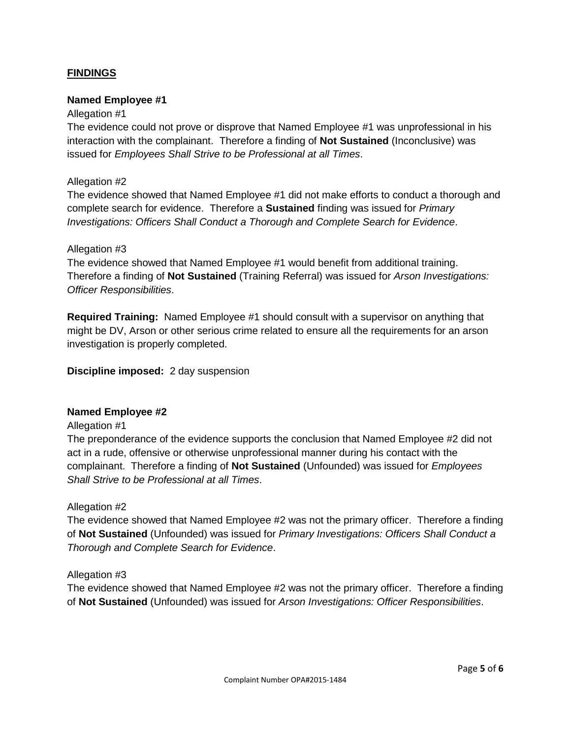# **FINDINGS**

#### **Named Employee #1**

#### Allegation #1

The evidence could not prove or disprove that Named Employee #1 was unprofessional in his interaction with the complainant. Therefore a finding of **Not Sustained** (Inconclusive) was issued for *Employees Shall Strive to be Professional at all Times*.

#### Allegation #2

The evidence showed that Named Employee #1 did not make efforts to conduct a thorough and complete search for evidence. Therefore a **Sustained** finding was issued for *Primary Investigations: Officers Shall Conduct a Thorough and Complete Search for Evidence*.

#### Allegation #3

The evidence showed that Named Employee #1 would benefit from additional training. Therefore a finding of **Not Sustained** (Training Referral) was issued for *Arson Investigations: Officer Responsibilities*.

**Required Training:** Named Employee #1 should consult with a supervisor on anything that might be DV, Arson or other serious crime related to ensure all the requirements for an arson investigation is properly completed.

#### **Discipline imposed:** 2 day suspension

#### **Named Employee #2**

#### Allegation #1

The preponderance of the evidence supports the conclusion that Named Employee #2 did not act in a rude, offensive or otherwise unprofessional manner during his contact with the complainant. Therefore a finding of **Not Sustained** (Unfounded) was issued for *Employees Shall Strive to be Professional at all Times*.

#### Allegation #2

The evidence showed that Named Employee #2 was not the primary officer. Therefore a finding of **Not Sustained** (Unfounded) was issued for *Primary Investigations: Officers Shall Conduct a Thorough and Complete Search for Evidence*.

#### Allegation #3

The evidence showed that Named Employee #2 was not the primary officer. Therefore a finding of **Not Sustained** (Unfounded) was issued for *Arson Investigations: Officer Responsibilities*.